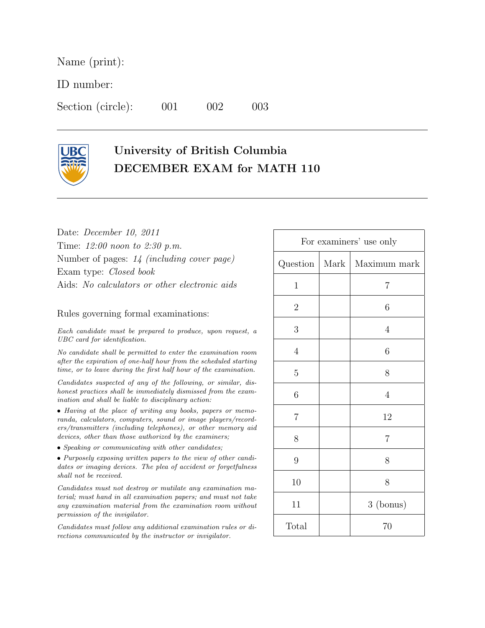Name (print):

ID number:

Section (circle): 001 002 003

## University of British Columbia DECEMBER EXAM for MATH 110

Date: December 10, 2011 Time: 12:00 noon to 2:30 p.m. Number of pages: 14 (including cover page) Exam type: Closed book Aids: No calculators or other electronic aids

## Rules governing formal examinations:

Each candidate must be prepared to produce, upon request, a UBC card for identification.

No candidate shall be permitted to enter the examination room after the expiration of one-half hour from the scheduled starting time, or to leave during the first half hour of the examination.

Candidates suspected of any of the following, or similar, dishonest practices shall be immediately dismissed from the examination and shall be liable to disciplinary action:

• Having at the place of writing any books, papers or memoranda, calculators, computers, sound or image players/recorders/transmitters (including telephones), or other memory aid devices, other than those authorized by the examiners;

• Speaking or communicating with other candidates;

• Purposely exposing written papers to the view of other candidates or imaging devices. The plea of accident or forgetfulness shall not be received.

Candidates must not destroy or mutilate any examination material; must hand in all examination papers; and must not take any examination material from the examination room without permission of the invigilator.

Candidates must follow any additional examination rules or directions communicated by the instructor or invigilator.

| For examiners' use only |      |                |
|-------------------------|------|----------------|
| $Question \mid$         | Mark | $Maximum$ mark |
| $\mathbf 1$             |      | 7              |
| $\sqrt{2}$              |      | 6              |
| 3                       |      | $\overline{4}$ |
| $\sqrt{4}$              |      | 6              |
| $\overline{5}$          |      | 8              |
| 6                       |      | $\overline{4}$ |
| $\overline{7}$          |      | 12             |
| 8                       |      | $\overline{7}$ |
| 9                       |      | 8              |
| 10                      |      | 8              |
| 11                      |      | 3 (bonus)      |
| Total                   |      | 70             |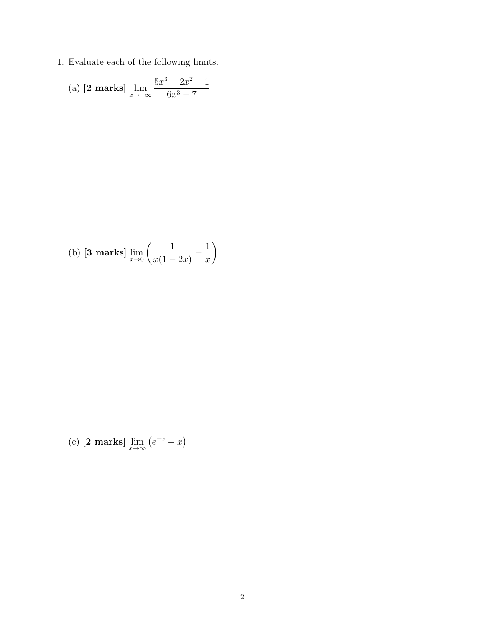1. Evaluate each of the following limits.

(a) **[2 marks]** 
$$
\lim_{x \to -\infty} \frac{5x^3 - 2x^2 + 1}{6x^3 + 7}
$$

(b) **[3 marks]** 
$$
\lim_{x \to 0} \left( \frac{1}{x(1-2x)} - \frac{1}{x} \right)
$$

(c) 
$$
[2 \text{ marks}] \lim_{x \to \infty} (e^{-x} - x)
$$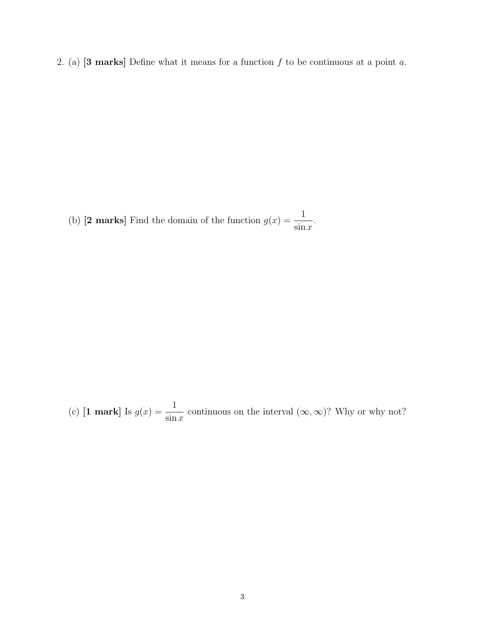2. (a)  $[3 \text{ marks}]$  Define what it means for a function  $f$  to be continuous at a point  $a$ .

(b) [2 marks] Find the domain of the function  $g(x) = \frac{1}{x}$  $\sin x$ .

(c) **[1 mark]** Is  $g(x) = \frac{1}{x}$  $\sin x$ continuous on the interval  $(\infty, \infty)$ ? Why or why not?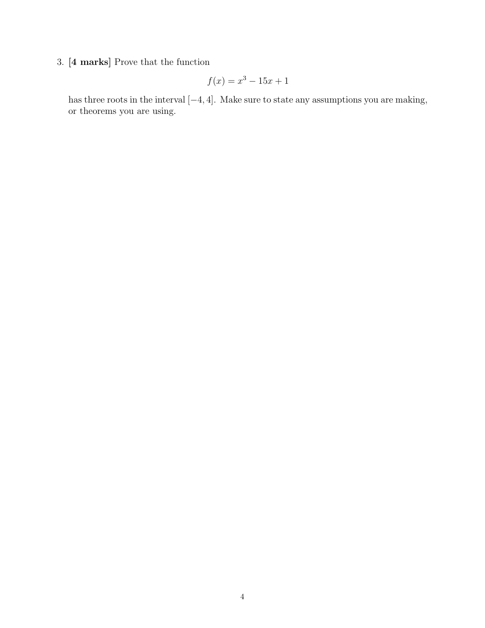## 3. [4 marks] Prove that the function

$$
f(x) = x^3 - 15x + 1
$$

has three roots in the interval [−4, 4]. Make sure to state any assumptions you are making, or theorems you are using.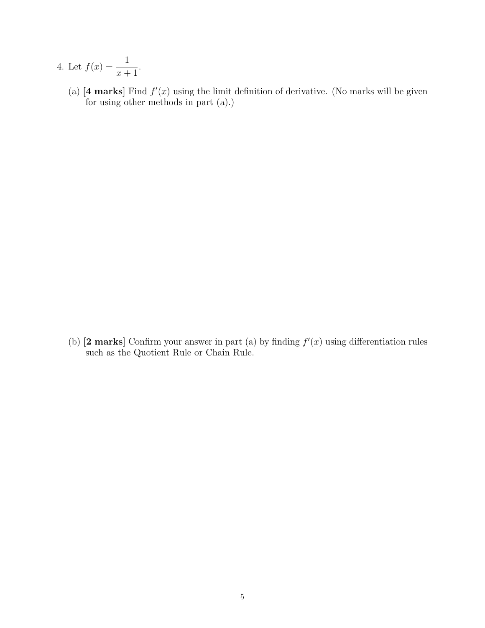- 4. Let  $f(x) = \frac{1}{x}$  $x + 1$ .
- (a) [4 marks] Find  $f'(x)$  using the limit definition of derivative. (No marks will be given for using other methods in part (a).)

(b) [2 marks] Confirm your answer in part (a) by finding  $f'(x)$  using differentiation rules such as the Quotient Rule or Chain Rule.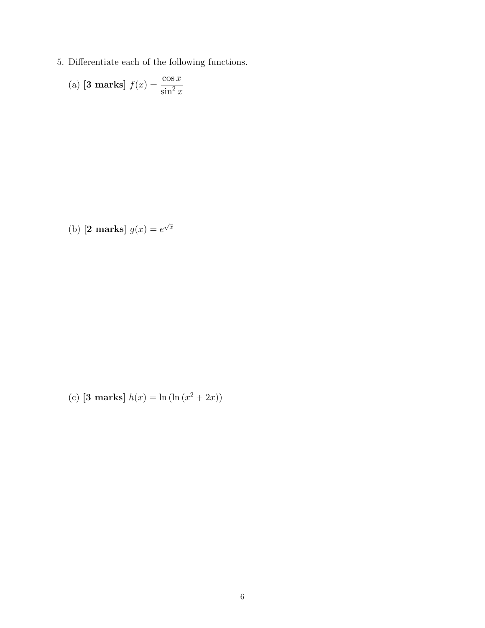5. Differentiate each of the following functions.

(a) **[3 marks]** 
$$
f(x) = \frac{\cos x}{\sin^2 x}
$$

(b) [2 marks]  $g(x) = e^{\sqrt{x}}$ 

(c) [3 marks]  $h(x) = \ln(\ln(x^2 + 2x))$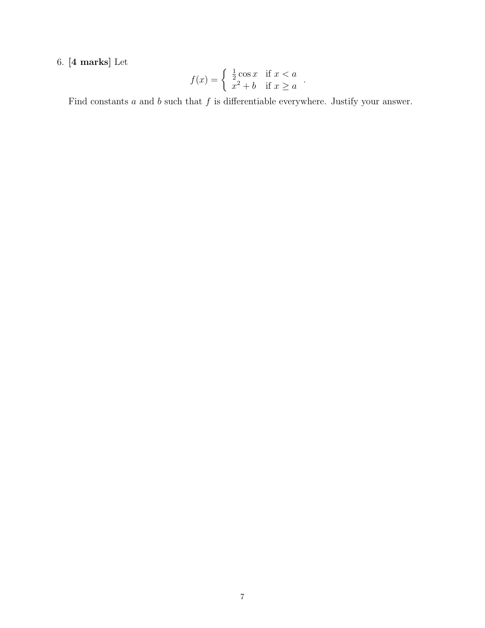## 6. [4 marks] Let

$$
f(x) = \begin{cases} \frac{1}{2}\cos x & \text{if } x < a \\ x^2 + b & \text{if } x \ge a \end{cases}.
$$

Find constants  $a$  and  $b$  such that  $f$  is differentiable everywhere. Justify your answer.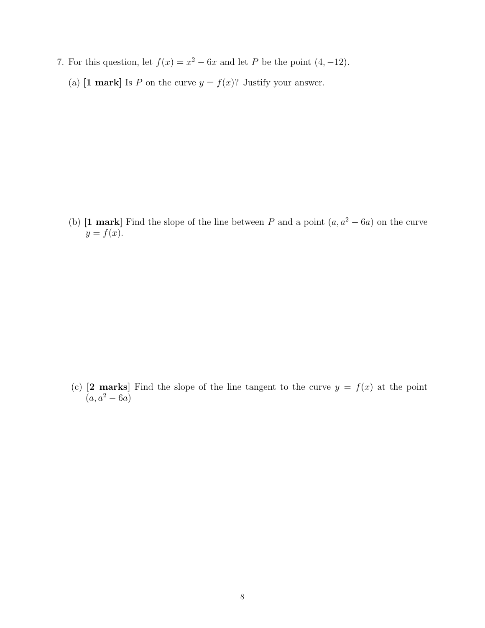- 7. For this question, let  $f(x) = x^2 6x$  and let P be the point  $(4, -12)$ .
	- (a) [1 mark] Is P on the curve  $y = f(x)$ ? Justify your answer.

(b) [1 mark] Find the slope of the line between P and a point  $(a, a^2 - 6a)$  on the curve  $y = f(x)$ .

(c) [2 marks] Find the slope of the line tangent to the curve  $y = f(x)$  at the point  $(a, a^2 - 6a)$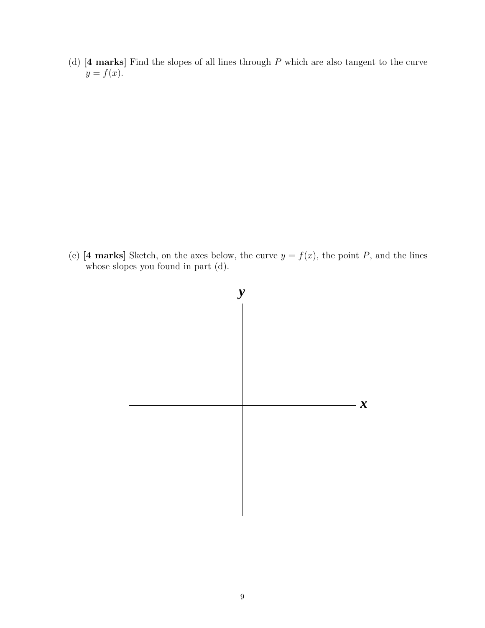(d)  $[4 \text{ marks}]$  Find the slopes of all lines through P which are also tangent to the curve  $y = f(x)$ .

(e) [4 marks] Sketch, on the axes below, the curve  $y = f(x)$ , the point P, and the lines whose slopes you found in part (d).

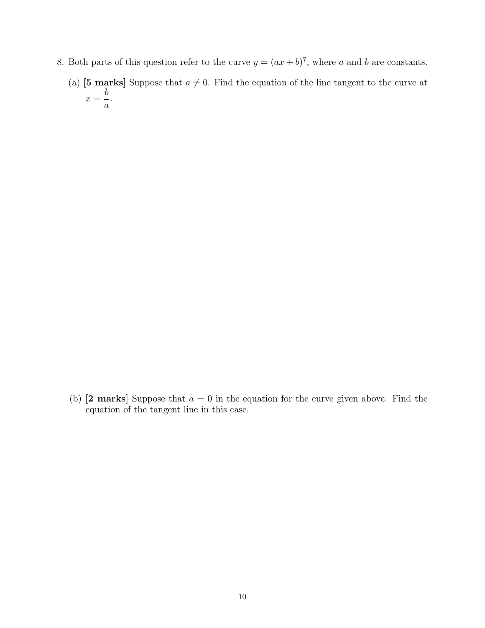- 8. Both parts of this question refer to the curve  $y = (ax + b)^7$ , where a and b are constants.
	- (a) [5 marks] Suppose that  $a \neq 0$ . Find the equation of the line tangent to the curve at  $x =$ b a .

(b)  $[2 \text{ marks}]$  Suppose that  $a = 0$  in the equation for the curve given above. Find the equation of the tangent line in this case.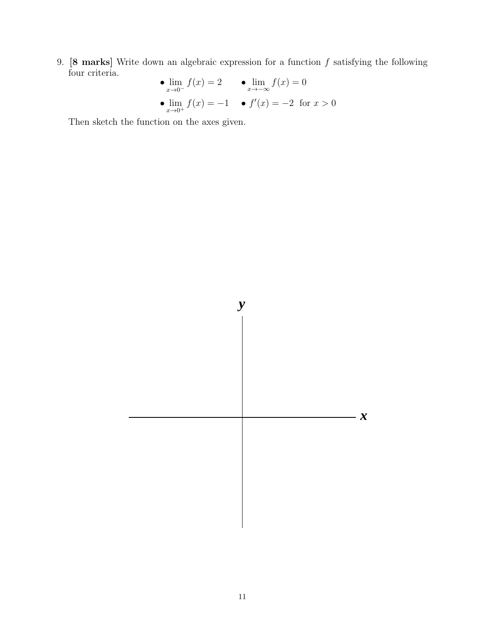9.  $[8 \text{ marks}]$  Write down an algebraic expression for a function  $f$  satisfying the following four criteria.  $f(x)$ 

• 
$$
\lim_{x \to 0^{-}} f(x) = 2
$$
 •  $\lim_{x \to -\infty} f(x) = 0$   
•  $\lim_{x \to 0^{+}} f(x) = -1$  •  $f'(x) = -2$  for  $x > 0$ 

Then sketch the function on the axes given.

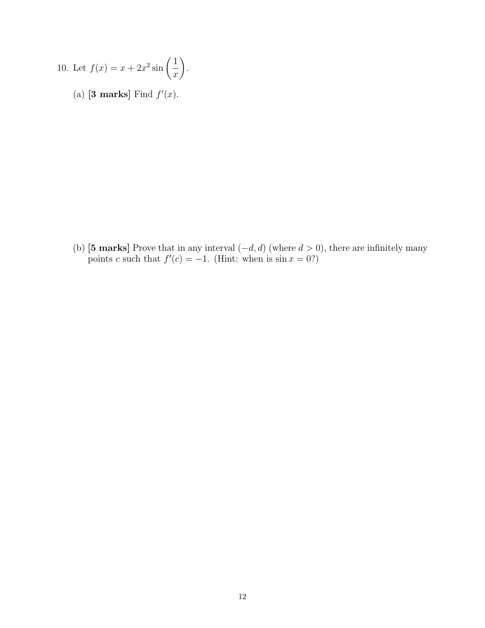10. Let 
$$
f(x) = x + 2x^2 \sin\left(\frac{1}{x}\right)
$$
.

(a) [3 marks] Find  $f'(x)$ .

(b) [5 marks] Prove that in any interval  $(-d, d)$  (where  $d > 0$ ), there are infinitely many points c such that  $f'(c) = -1$ . (Hint: when is  $\sin x = 0$ ?)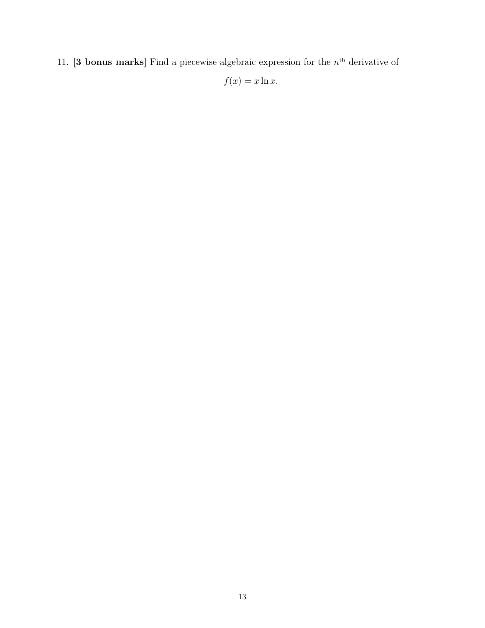11. **[3 bonus marks]** Find a piecewise algebraic expression for the  $n<sup>th</sup>$  derivative of

$$
f(x) = x \ln x.
$$